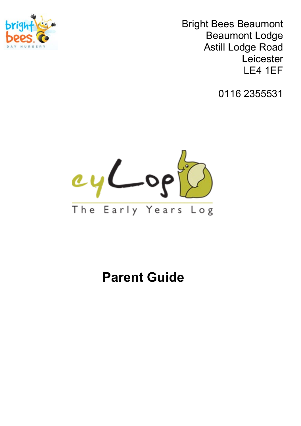

Bright Bees Beaumont Beaumont Lodge Astill Lodge Road Leicester LE4 1EF

0116 2355531



# **Parent Guide**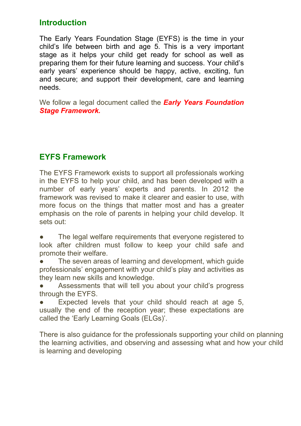## **Introduction**

The Early Years Foundation Stage (EYFS) is the time in your child's life between birth and age 5. This is a very important stage as it helps your child get ready for school as well as preparing them for their future learning and success. Your child's early years' experience should be happy, active, exciting, fun and secure; and support their development, care and learning needs.

We follow a legal document called the *Early Years Foundation Stage Framework.*

## **EYFS Framework**

The EYFS Framework exists to support all professionals working in the EYFS to help your child, and has been developed with a number of early years' experts and parents. In 2012 the framework was revised to make it clearer and easier to use, with more focus on the things that matter most and has a greater emphasis on the role of parents in helping your child develop. It sets out:

- The legal welfare requirements that everyone registered to look after children must follow to keep your child safe and promote their welfare.
- The seven areas of learning and development, which guide professionals' engagement with your child's play and activities as they learn new skills and knowledge.
- Assessments that will tell you about your child's progress through the EYFS.
- Expected levels that your child should reach at age 5, usually the end of the reception year; these expectations are called the 'Early Learning Goals (ELGs)'.

There is also guidance for the professionals supporting your child on planning the learning activities, and observing and assessing what and how your child is learning and developing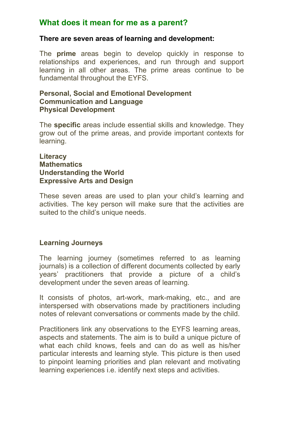## **What does it mean for me as a parent?**

#### **There are seven areas of learning and development:**

The **prime** areas begin to develop quickly in response to relationships and experiences, and run through and support learning in all other areas. The prime areas continue to be fundamental throughout the EYFS.

### **Personal, Social and Emotional Development Communication and Language Physical Development**

The **specific** areas include essential skills and knowledge. They grow out of the prime areas, and provide important contexts for learning.

#### **Literacy Mathematics Understanding the World Expressive Arts and Design**

These seven areas are used to plan your child's learning and activities. The key person will make sure that the activities are suited to the child's unique needs.

## **Learning Journeys**

The learning journey (sometimes referred to as learning journals) is a collection of different documents collected by early years' practitioners that provide a picture of a child's development under the seven areas of learning.

It consists of photos, art-work, mark-making, etc., and are interspersed with observations made by practitioners including notes of relevant conversations or comments made by the child.

Practitioners link any observations to the EYFS learning areas, aspects and statements. The aim is to build a unique picture of what each child knows, feels and can do as well as his/her particular interests and learning style. This picture is then used to pinpoint learning priorities and plan relevant and motivating learning experiences i.e. identify next steps and activities.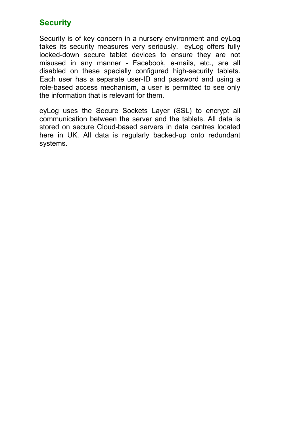## **Security**

Security is of key concern in a nursery environment and eyLog takes its security measures very seriously. eyLog offers fully locked-down secure tablet devices to ensure they are not misused in any manner - Facebook, e-mails, etc., are all disabled on these specially configured high-security tablets. Each user has a separate user-ID and password and using a role-based access mechanism, a user is permitted to see only the information that is relevant for them.

eyLog uses the Secure Sockets Layer (SSL) to encrypt all communication between the server and the tablets. All data is stored on secure Cloud-based servers in data centres located here in UK. All data is regularly backed-up onto redundant systems.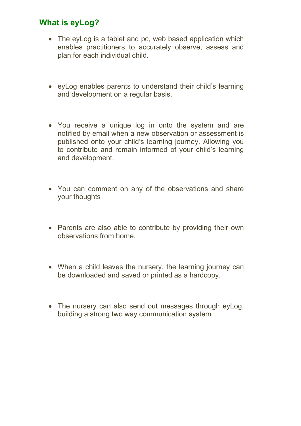## **What is eyLog?**

- The eyLog is a tablet and pc, web based application which enables practitioners to accurately observe, assess and plan for each individual child.
- eyLog enables parents to understand their child's learning and development on a regular basis.
- You receive a unique log in onto the system and are notified by email when a new observation or assessment is published onto your child's learning journey. Allowing you to contribute and remain informed of your child's learning and development.
- You can comment on any of the observations and share your thoughts
- Parents are also able to contribute by providing their own observations from home.
- When a child leaves the nursery, the learning journey can be downloaded and saved or printed as a hardcopy.
- The nursery can also send out messages through eyLog, building a strong two way communication system